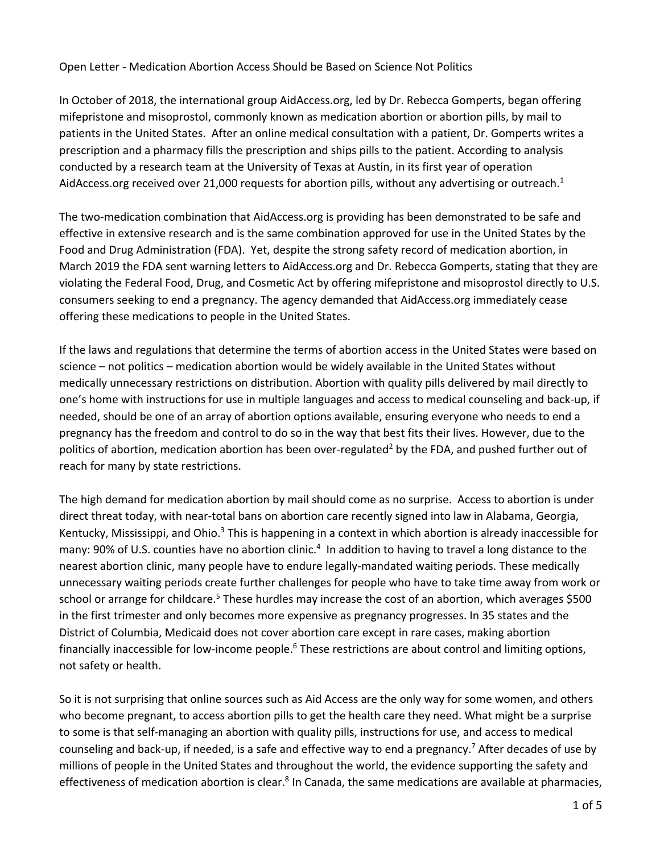## Open Letter - Medication Abortion Access Should be Based on Science Not Politics

In October of 2018, the international group AidAccess.org, led by Dr. Rebecca Gomperts, began offering mifepristone and misoprostol, commonly known as medication abortion or abortion pills, by mail to patients in the United States. After an online medical consultation with a patient, Dr. Gomperts writes a prescription and a pharmacy fills the prescription and ships pills to the patient. According to analysis conducted by a research team at the University of Texas at Austin, in its first year of operation AidAccess.org received over 21,000 requests for abortion pills, without any advertising or outreach.<sup>1</sup>

The two-medication combination that AidAccess.org is providing has been demonstrated to be safe and effective in extensive research and is the same combination approved for use in the United States by the Food and Drug Administration (FDA). Yet, despite the strong safety record of medication abortion, in March 2019 the FDA sent warning letters to AidAccess.org and Dr. Rebecca Gomperts, stating that they are violating the Federal Food, Drug, and Cosmetic Act by offering mifepristone and misoprostol directly to U.S. consumers seeking to end a pregnancy. The agency demanded that AidAccess.org immediately cease offering these medications to people in the United States.

If the laws and regulations that determine the terms of abortion access in the United States were based on science – not politics – medication abortion would be widely available in the United States without medically unnecessary restrictions on distribution. Abortion with quality pills delivered by mail directly to one's home with instructions for use in multiple languages and access to medical counseling and back-up, if needed, should be one of an array of abortion options available, ensuring everyone who needs to end a pregnancy has the freedom and control to do so in the way that best fits their lives. However, due to the politics of abortion, medication abortion has been over-regulated<sup>2</sup> by the FDA, and pushed further out of reach for many by state restrictions.

The high demand for medication abortion by mail should come as no surprise. Access to abortion is under direct threat today, with near-total bans on abortion care recently signed into law in Alabama, Georgia, Kentucky, Mississippi, and Ohio.<sup>3</sup> This is happening in a context in which abortion is already inaccessible for many: 90% of U.S. counties have no abortion clinic.<sup>4</sup> In addition to having to travel a long distance to the nearest abortion clinic, many people have to endure legally-mandated waiting periods. These medically unnecessary waiting periods create further challenges for people who have to take time away from work or school or arrange for childcare.<sup>5</sup> These hurdles may increase the cost of an abortion, which averages \$500 in the first trimester and only becomes more expensive as pregnancy progresses. In 35 states and the District of Columbia, Medicaid does not cover abortion care except in rare cases, making abortion financially inaccessible for low-income people.<sup>6</sup> These restrictions are about control and limiting options, not safety or health.

So it is not surprising that online sources such as Aid Access are the only way for some women, and others who become pregnant, to access abortion pills to get the health care they need. What might be a surprise to some is that self-managing an abortion with quality pills, instructions for use, and access to medical counseling and back-up, if needed, is a safe and effective way to end a pregnancy.<sup>7</sup> After decades of use by millions of people in the United States and throughout the world, the evidence supporting the safety and effectiveness of medication abortion is clear.<sup>8</sup> In Canada, the same medications are available at pharmacies,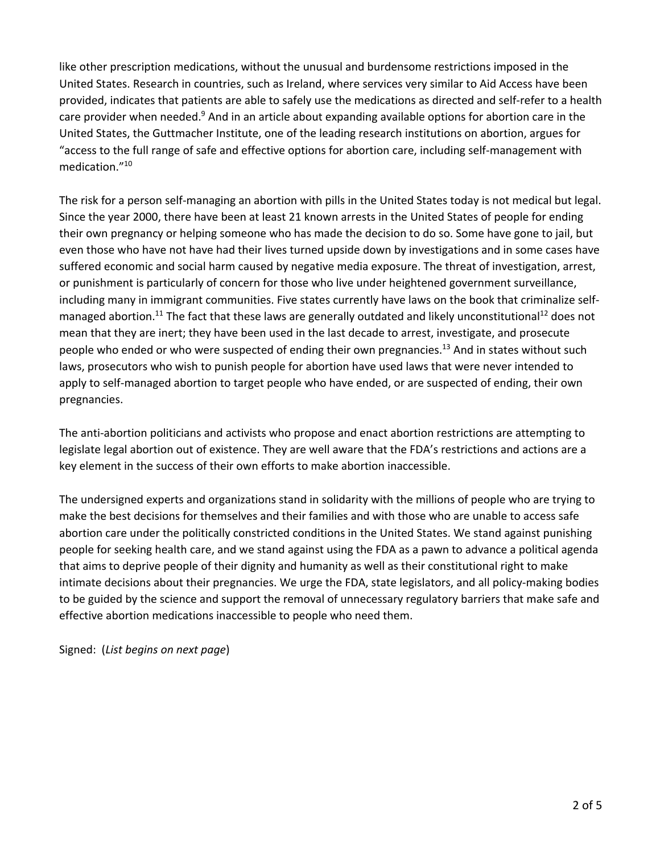like other prescription medications, without the unusual and burdensome restrictions imposed in the United States. Research in countries, such as Ireland, where services very similar to Aid Access have been provided, indicates that patients are able to safely use the medications as directed and self-refer to a health care provider when needed.<sup>9</sup> And in an article about expanding available options for abortion care in the United States, the Guttmacher Institute, one of the leading research institutions on abortion, argues for "access to the full range of safe and effective options for abortion care, including self-management with medication."10

The risk for a person self-managing an abortion with pills in the United States today is not medical but legal. Since the year 2000, there have been at least 21 known arrests in the United States of people for ending their own pregnancy or helping someone who has made the decision to do so. Some have gone to jail, but even those who have not have had their lives turned upside down by investigations and in some cases have suffered economic and social harm caused by negative media exposure. The threat of investigation, arrest, or punishment is particularly of concern for those who live under heightened government surveillance, including many in immigrant communities. Five states currently have laws on the book that criminalize selfmanaged abortion.<sup>11</sup> The fact that these laws are generally outdated and likely unconstitutional<sup>12</sup> does not mean that they are inert; they have been used in the last decade to arrest, investigate, and prosecute people who ended or who were suspected of ending their own pregnancies.<sup>13</sup> And in states without such laws, prosecutors who wish to punish people for abortion have used laws that were never intended to apply to self-managed abortion to target people who have ended, or are suspected of ending, their own pregnancies.

The anti-abortion politicians and activists who propose and enact abortion restrictions are attempting to legislate legal abortion out of existence. They are well aware that the FDA's restrictions and actions are a key element in the success of their own efforts to make abortion inaccessible.

The undersigned experts and organizations stand in solidarity with the millions of people who are trying to make the best decisions for themselves and their families and with those who are unable to access safe abortion care under the politically constricted conditions in the United States. We stand against punishing people for seeking health care, and we stand against using the FDA as a pawn to advance a political agenda that aims to deprive people of their dignity and humanity as well as their constitutional right to make intimate decisions about their pregnancies. We urge the FDA, state legislators, and all policy-making bodies to be guided by the science and support the removal of unnecessary regulatory barriers that make safe and effective abortion medications inaccessible to people who need them.

Signed: (*List begins on next page*)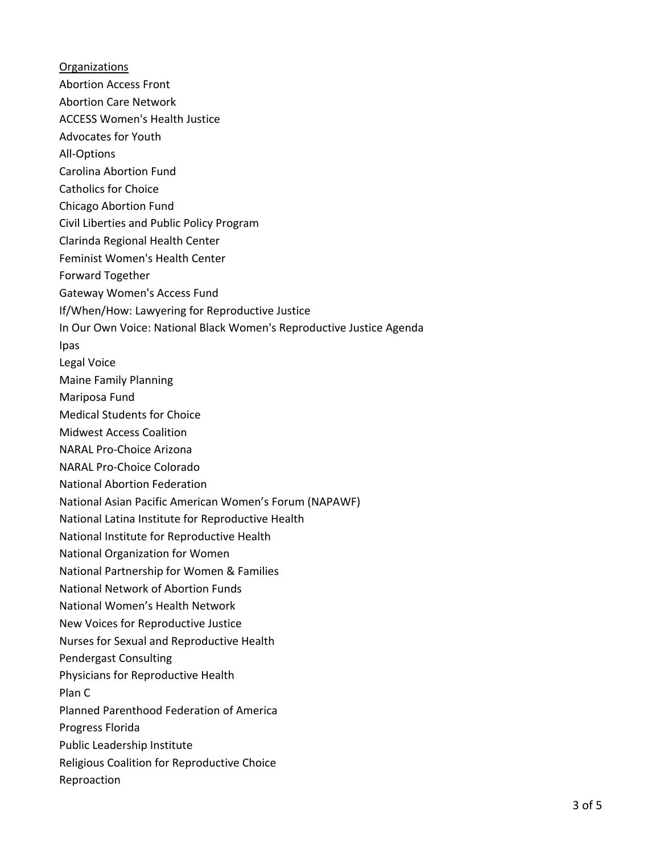**Organizations** Abortion Access Front Abortion Care Network ACCESS Women's Health Justice Advocates for Youth All-Options Carolina Abortion Fund Catholics for Choice Chicago Abortion Fund Civil Liberties and Public Policy Program Clarinda Regional Health Center Feminist Women's Health Center Forward Together Gateway Women's Access Fund If/When/How: Lawyering for Reproductive Justice In Our Own Voice: National Black Women's Reproductive Justice Agenda Ipas Legal Voice Maine Family Planning Mariposa Fund Medical Students for Choice Midwest Access Coalition NARAL Pro-Choice Arizona NARAL Pro-Choice Colorado National Abortion Federation National Asian Pacific American Women's Forum (NAPAWF) National Latina Institute for Reproductive Health National Institute for Reproductive Health National Organization for Women National Partnership for Women & Families National Network of Abortion Funds National Women's Health Network New Voices for Reproductive Justice Nurses for Sexual and Reproductive Health Pendergast Consulting Physicians for Reproductive Health Plan C Planned Parenthood Federation of America Progress Florida Public Leadership Institute Religious Coalition for Reproductive Choice Reproaction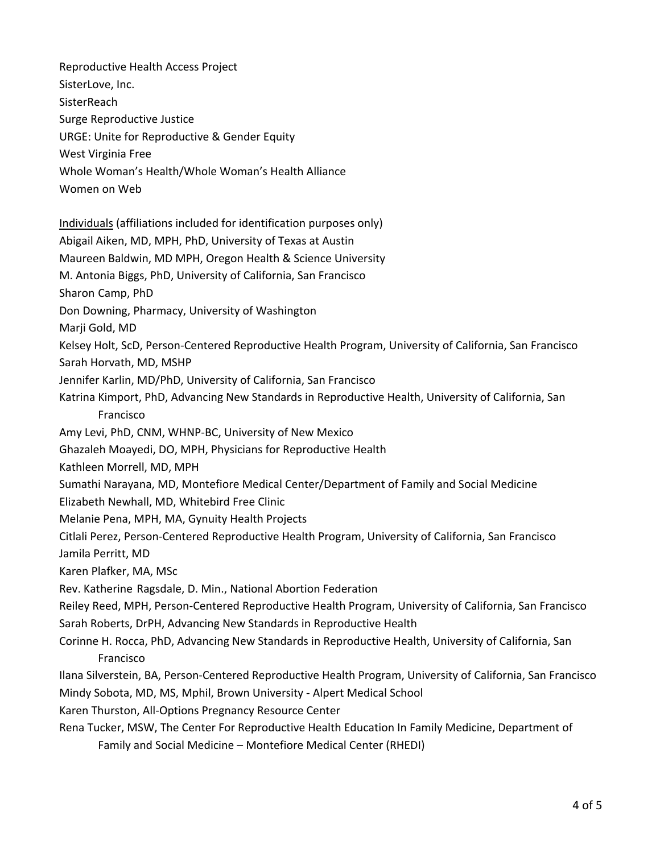Reproductive Health Access Project SisterLove, Inc. **SisterReach** Surge Reproductive Justice URGE: Unite for Reproductive & Gender Equity West Virginia Free Whole Woman's Health/Whole Woman's Health Alliance Women on Web Individuals (affiliations included for identification purposes only) Abigail Aiken, MD, MPH, PhD, University of Texas at Austin Maureen Baldwin, MD MPH, Oregon Health & Science University M. Antonia Biggs, PhD, University of California, San Francisco Sharon Camp, PhD Don Downing, Pharmacy, University of Washington Marji Gold, MD Kelsey Holt, ScD, Person-Centered Reproductive Health Program, University of California, San Francisco Sarah Horvath, MD, MSHP Jennifer Karlin, MD/PhD, University of California, San Francisco Katrina Kimport, PhD, Advancing New Standards in Reproductive Health, University of California, San Francisco Amy Levi, PhD, CNM, WHNP-BC, University of New Mexico Ghazaleh Moayedi, DO, MPH, Physicians for Reproductive Health Kathleen Morrell, MD, MPH Sumathi Narayana, MD, Montefiore Medical Center/Department of Family and Social Medicine Elizabeth Newhall, MD, Whitebird Free Clinic Melanie Pena, MPH, MA, Gynuity Health Projects Citlali Perez, Person-Centered Reproductive Health Program, University of California, San Francisco Jamila Perritt, MD Karen Plafker, MA, MSc Rev. Katherine Ragsdale, D. Min., National Abortion Federation Reiley Reed, MPH, Person-Centered Reproductive Health Program, University of California, San Francisco Sarah Roberts, DrPH, Advancing New Standards in Reproductive Health Corinne H. Rocca, PhD, Advancing New Standards in Reproductive Health, University of California, San Francisco Ilana Silverstein, BA, Person-Centered Reproductive Health Program, University of California, San Francisco Mindy Sobota, MD, MS, Mphil, Brown University - Alpert Medical School Karen Thurston, All-Options Pregnancy Resource Center Rena Tucker, MSW, The Center For Reproductive Health Education In Family Medicine, Department of Family and Social Medicine – Montefiore Medical Center (RHEDI)